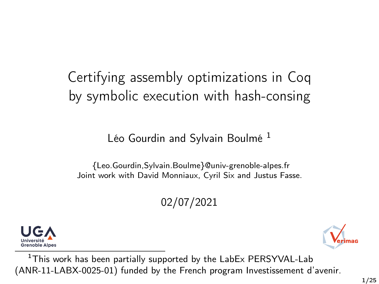# Certifying assembly optimizations in Coq by symbolic execution with hash-consing

### Léo Gourdin and Sylvain Boulmé<sup>1</sup>

{Leo.Gourdin,Sylvain.Boulme}@univ-grenoble-alpes.fr Joint work with David Monniaux, Cyril Six and Justus Fasse.

02/07/2021



<sup>1</sup>This work has been partially supported by the LabEx PERSYVAL-Lab (ANR-11-LABX-0025-01) funded by the French program Investissement d'avenir.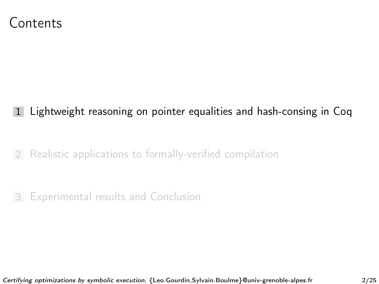### <span id="page-1-0"></span>Contents

- 1 [Lightweight reasoning on pointer equalities and hash-consing in Coq](#page-1-0)
- 2 [Realistic applications to formally-verified compilation](#page-23-0)

3 [Experimental results and Conclusion](#page-67-0)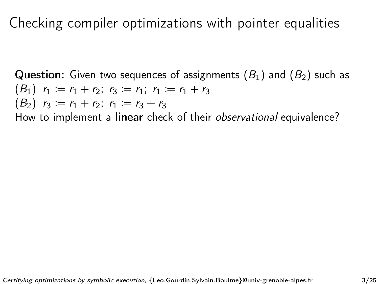**Question:** Given two sequences of assignments  $(B_1)$  and  $(B_2)$  such as  $(B_1)$   $r_1 := r_1 + r_2$ ;  $r_3 := r_1$ ;  $r_1 := r_1 + r_3$  $(B_2)$   $r_3 := r_1 + r_2; r_1 := r_3 + r_3$ How to implement a linear check of their observational equivalence?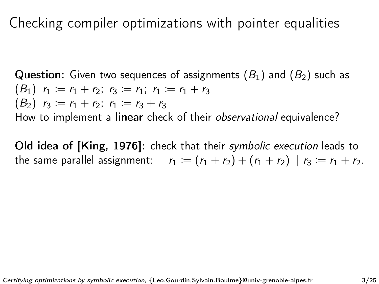Question: Given two sequences of assignments  $(B_1)$  and  $(B_2)$  such as  $(B_1)$   $r_1 := r_1 + r_2$ ;  $r_3 := r_1$ ;  $r_1 := r_1 + r_3$  $(B_2)$   $r_3 := r_1 + r_2; r_1 := r_3 + r_3$ How to implement a linear check of their observational equivalence?

Old idea of [\[King, 1976\]](#page-73-0): check that their symbolic execution leads to the same parallel assignment:  $r_1 := (r_1 + r_2) + (r_1 + r_2) || r_3 := r_1 + r_2$ .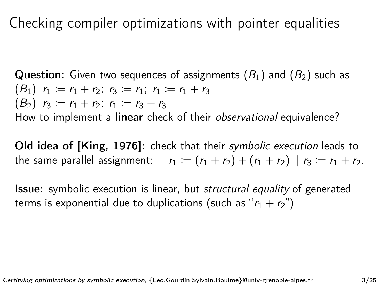Question: Given two sequences of assignments  $(B_1)$  and  $(B_2)$  such as  $(B_1)$   $r_1 := r_1 + r_2$ ;  $r_3 := r_1$ ;  $r_1 := r_1 + r_3$  $(B_2)$   $r_3 := r_1 + r_2; r_1 := r_3 + r_3$ How to implement a linear check of their observational equivalence?

Old idea of [\[King, 1976\]](#page-73-0): check that their symbolic execution leads to the same parallel assignment:  $r_1 := (r_1 + r_2) + (r_1 + r_2) || r_3 := r_1 + r_2$ .

**Issue:** symbolic execution is linear, but *structural equality* of generated terms is exponential due to duplications (such as " $r_1 + r_2$ ")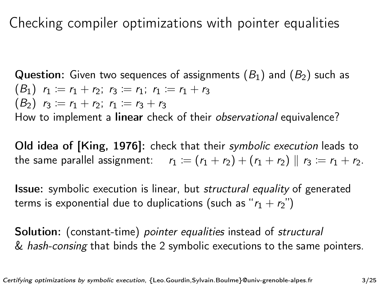**Question:** Given two sequences of assignments  $(B_1)$  and  $(B_2)$  such as  $(B_1)$   $r_1 := r_1 + r_2$ ;  $r_3 := r_1$ ;  $r_1 := r_1 + r_3$  $(B_2)$   $r_3 := r_1 + r_2; r_1 := r_3 + r_3$ How to implement a linear check of their observational equivalence?

Old idea of [\[King, 1976\]](#page-73-0): check that their symbolic execution leads to the same parallel assignment:  $r_1 := (r_1 + r_2) + (r_1 + r_2) || r_3 := r_1 + r_2$ .

**Issue:** symbolic execution is linear, but *structural equality* of generated terms is exponential due to duplications (such as " $r_1 + r_2$ ")

Solution: (constant-time) *pointer equalities* instead of *structural* & hash-consing that binds the 2 symbolic executions to the same pointers.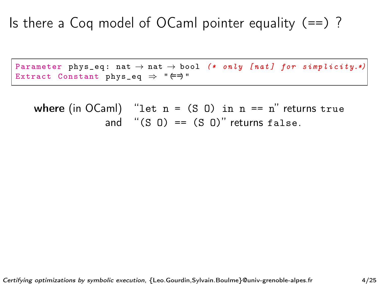## Is there a Coq model of OCaml pointer equality  $(==)$  ?

Parameter phys\_eq: nat  $\rightarrow$  nat  $\rightarrow$  bool (\* only [nat] for simplicity.\*) Extract Constant phys\_eq  $\Rightarrow$  " $\Leftarrow$ )"

where (in OCaml) "let  $n = (S \ 0)$  in  $n == n$ " returns true and  $''(S \cup 0) = (S \cup 0)''$  returns false.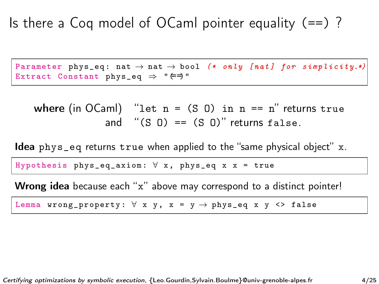## Is there a Coq model of OCaml pointer equality  $(==)$ ?

Parameter phys\_eq: nat  $\rightarrow$  nat  $\rightarrow$  bool (\* only [nat] for simplicity.\*) Extract Constant phys\_eq  $\Rightarrow$  " $\Leftarrow$ )"

where (in OCaml) "let  $n = (S \ 0)$  in  $n == n$ " returns true and " $(S \cup 0) == (S \cup 0)$ " returns false.

Idea phys\_eq returns true when applied to the "same physical object" x.

Hypothesis phys\_eq\_axiom:  $\forall$  x, phys\_eq x x = true

Wrong idea because each "x" above may correspond to a distinct pointer!

Lemma wrong\_property:  $\forall$  x y, x = y  $\rightarrow$  phys\_eq x y <> false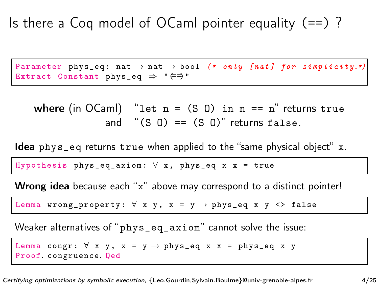Parameter phys\_eq: nat  $\rightarrow$  nat  $\rightarrow$  bool (\* only [nat] for simplicity.\*) Extract Constant phys\_eq  $\Rightarrow$  " $\Leftarrow$ )"

where (in OCaml) "let  $n = (S \ 0)$  in  $n == n$ " returns true and  $''(S \cup 0) = (S \cup 0)''$  returns false.

Idea phys\_eq returns true when applied to the "same physical object" x.

Hypothesis phys\_eq\_axiom:  $\forall$  x, phys\_eq x x = true

Wrong idea because each "x" above may correspond to a distinct pointer!

Lemma wrong\_property:  $\forall$  x y, x = y  $\rightarrow$  phys\_eq x y <> false

Weaker alternatives of "phys\_eq\_axiom" cannot solve the issue:

Lemma congr:  $\forall$  x y, x = y  $\rightarrow$  phys\_eq x x = phys\_eq x y Proof. congruence. Qed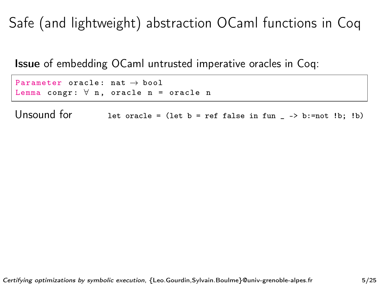Issue of embedding OCaml untrusted imperative oracles in Coq:

Parameter oracle:  $nat \rightarrow bool$ Lemma congr:  $\forall$  n, oracle n = oracle n

Unsound for let oracle = (let  $b = ref$  false in fun \_ -> b:=not !b; !b)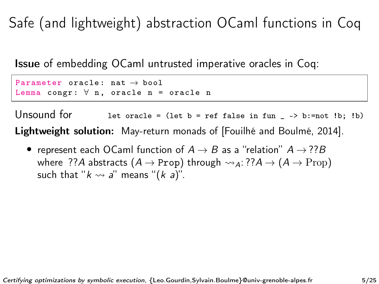Issue of embedding OCaml untrusted imperative oracles in Coq:

Parameter oracle:  $nat \rightarrow bool$ Lemma congr:  $\forall$  n, oracle n = oracle n

Unsound for let oracle = (let  $b = ref$  false in fun \_ -> b:=not !b; !b) Lightweight solution: May-return monads of [\[Fouilhé and Boulmé, 2014\]](#page-73-1).

• represent each OCaml function of  $A \rightarrow B$  as a "relation"  $A \rightarrow ??B$ where ??A abstracts  $(A \rightarrow \text{Prop})$  through  $\rightsquigarrow_A$ : ?? $A \rightarrow (A \rightarrow \text{Prop})$ such that " $k \rightsquigarrow a$ " means " $(k a)$ ".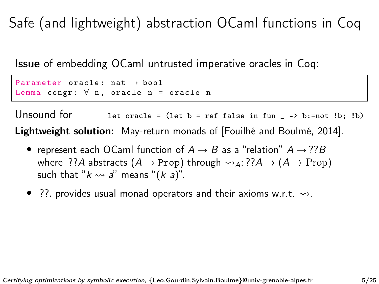Issue of embedding OCaml untrusted imperative oracles in Coq:

Parameter oracle:  $nat \rightarrow bool$ Lemma congr:  $\forall$  n, oracle n = oracle n

Unsound for let oracle = (let  $b = ref$  false in fun \_ -> b:=not !b; !b) Lightweight solution: May-return monads of [\[Fouilhé and Boulmé, 2014\]](#page-73-1).

- represent each OCaml function of  $A \rightarrow B$  as a "relation"  $A \rightarrow ??B$ where ??A abstracts  $(A \rightarrow \text{Prop})$  through  $\rightsquigarrow_A$ : ?? $A \rightarrow (A \rightarrow \text{Prop})$ such that " $k \leadsto a$ " means " $(k a)$ ".
- ??. provides usual monad operators and their axioms w.r.t.  $\rightsquigarrow$ .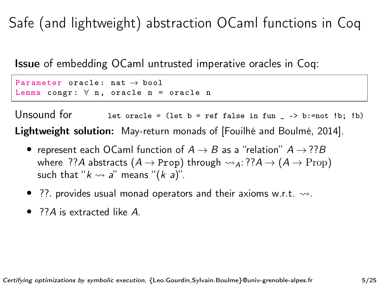Issue of embedding OCaml untrusted imperative oracles in Coq:

```
Parameter oracle: nat \rightarrow boolLemma congr: \forall n, oracle n = oracle n
```
Unsound for let oracle = (let  $b = ref$  false in fun \_ -> b:=not !b; !b) Lightweight solution: May-return monads of [\[Fouilhé and Boulmé, 2014\]](#page-73-1).

- represent each OCaml function of  $A \rightarrow B$  as a "relation"  $A \rightarrow ??B$ where ??A abstracts  $(A \rightarrow \text{Prop})$  through  $\rightsquigarrow_A$ : ?? $A \rightarrow (A \rightarrow \text{Prop})$ such that " $k \leadsto a$ " means " $(k a)$ ".
- ??. provides usual monad operators and their axioms w.r.t.  $\rightsquigarrow$ .
- 22A is extracted like A.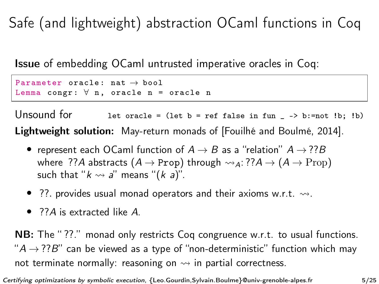Issue of embedding OCaml untrusted imperative oracles in Coq:

Parameter oracle:  $nat \rightarrow bool$ Lemma congr:  $\forall$  n, oracle n = oracle n

Unsound for let oracle = (let  $b = ref$  false in fun \_ -> b:=not !b; !b) Lightweight solution: May-return monads of [\[Fouilhé and Boulmé, 2014\]](#page-73-1).

- represent each OCaml function of  $A \rightarrow B$  as a "relation"  $A \rightarrow ??B$ where ??A abstracts  $(A \rightarrow \text{Prop})$  through  $\rightsquigarrow_A$ : ?? $A \rightarrow (A \rightarrow \text{Prop})$ such that " $k \rightsquigarrow a$ " means " $(k a)$ ".
- ??. provides usual monad operators and their axioms w.r.t.  $\rightsquigarrow$ .
- 22A is extracted like A.

NB: The "??." monad only restricts Coq congruence w.r.t. to usual functions.  $A \rightarrow ?7B$ " can be viewed as a type of "non-deterministic" function which may not terminate normally: reasoning on  $\rightsquigarrow$  in partial correctness.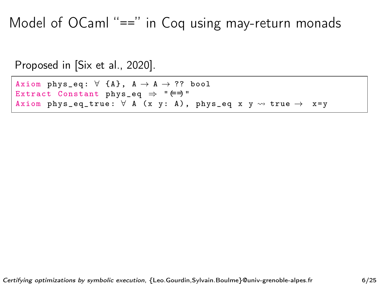Model of OCaml "==" in Coq using may-return monads

```
Proposed in [Six et al., 2020].
```
Axiom phys\_eq:  $\forall$  {A},  $A \rightarrow A \rightarrow ?$ ? bool Extract Constant phys\_eq  $\Rightarrow$  " $\Leftarrow$ )" Axiom phys\_eq\_true:  $\forall$  A (x y: A), phys\_eq x y  $\rightsquigarrow$  true  $\rightarrow$  x=y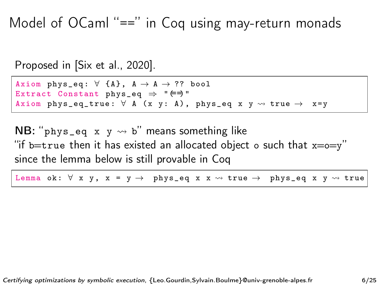Model of OCaml "==" in Coq using may-return monads

Proposed in [\[Six et al., 2020\]](#page-73-2).

Axiom phys\_eq:  $\forall$  {A},  $A \rightarrow A \rightarrow ?$ ? bool Extract Constant phys\_eq  $\Rightarrow$  " $\Leftarrow$ )" Axiom phys\_eq\_true:  $\forall$  A (x y: A), phys\_eq x y  $\rightsquigarrow$  true  $\rightarrow$  x=y

NB: " $phys_eq x y \rightsquigarrow b"$  means something like "if b=true then it has existed an allocated object o such that  $x=0=y''$ since the lemma below is still provable in Coq

Lemma ok:  $\forall$  x y, x = y  $\rightarrow$  phys\_eq x x  $\rightsquigarrow$  true  $\rightarrow$  phys\_eq x y  $\rightsquigarrow$  true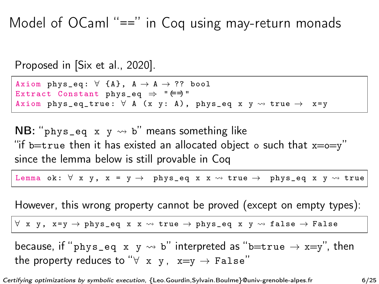Model of OCaml "==" in Coq using may-return monads

Proposed in [\[Six et al., 2020\]](#page-73-2).

Axiom phys\_eq:  $\forall$  {A},  $A \rightarrow A \rightarrow ?$ ? bool Extract Constant phys\_eq  $\Rightarrow$  " $\Leftarrow$ )" Axiom phys\_eq\_true:  $\forall$  A (x y: A), phys\_eq x y  $\rightsquigarrow$  true  $\rightarrow$  x=y

NB: " $phys_eq x y \rightsquigarrow b"$  means something like "if b=true then it has existed an allocated object o such that  $x=0=y$ " since the lemma below is still provable in Coq

Lemma ok:  $\forall$  x y, x = y  $\rightarrow$  phys\_eq x x  $\rightsquigarrow$  true  $\rightarrow$  phys\_eq x y  $\rightsquigarrow$  true

However, this wrong property cannot be proved (except on empty types):

 $\forall$  x y, x=y  $\rightarrow$  phys\_eq x x  $\rightsquigarrow$  true  $\rightarrow$  phys\_eq x y  $\rightsquigarrow$  false  $\rightarrow$  False

because, if "phys\_eq x y  $\rightarrow$  b" interpreted as "b=true  $\rightarrow$  x=y", then the property reduces to " $\forall$  x y, x=y  $\rightarrow$  False"

Certifying optimizations by symbolic execution, {Leo.Gourdin,Sylvain.Boulme}@univ-grenoble-alpes.fr 6/25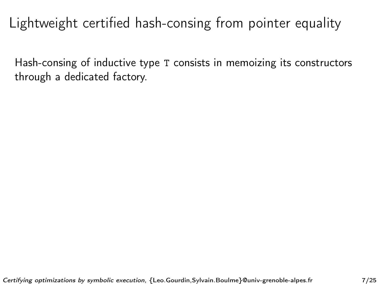Hash-consing of inductive type T consists in memoizing its constructors through a dedicated factory.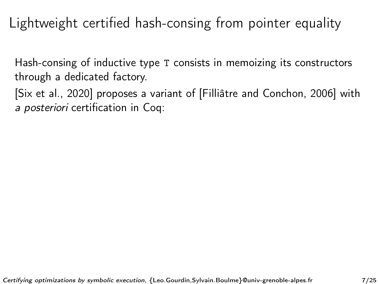Hash-consing of inductive type T consists in memoizing its constructors through a dedicated factory.

[\[Six et al., 2020\]](#page-73-2) proposes a variant of [\[Filliâtre and Conchon, 2006\]](#page-73-3) with a posteriori certification in Coq: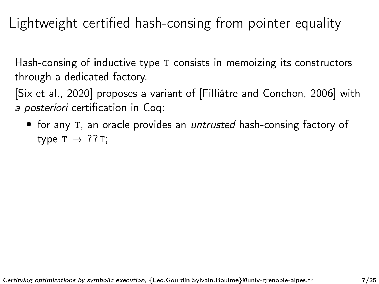Hash-consing of inductive type T consists in memoizing its constructors through a dedicated factory.

[\[Six et al., 2020\]](#page-73-2) proposes a variant of [\[Filliâtre and Conchon, 2006\]](#page-73-3) with a posteriori certification in Coq:

• for any T, an oracle provides an *untrusted* hash-consing factory of type  $T \rightarrow ??T$ ;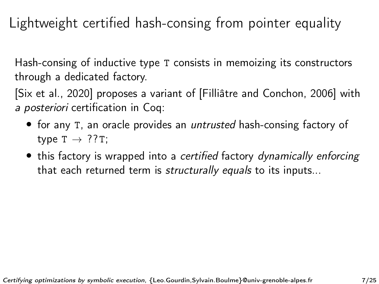Hash-consing of inductive type T consists in memoizing its constructors through a dedicated factory.

[\[Six et al., 2020\]](#page-73-2) proposes a variant of [\[Filliâtre and Conchon, 2006\]](#page-73-3) with a posteriori certification in Coq:

- for any T, an oracle provides an *untrusted* hash-consing factory of type  $T \rightarrow ??T$ ;
- this factory is wrapped into a certified factory dynamically enforcing that each returned term is *structurally equals* to its inputs...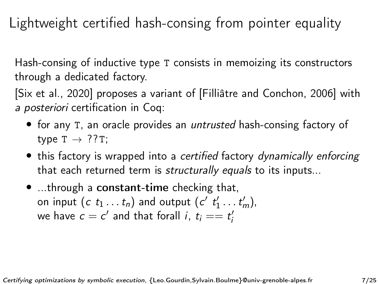Hash-consing of inductive type T consists in memoizing its constructors through a dedicated factory.

[\[Six et al., 2020\]](#page-73-2) proposes a variant of [\[Filliâtre and Conchon, 2006\]](#page-73-3) with a posteriori certification in Coq:

- for any T, an oracle provides an *untrusted* hash-consing factory of type  $T \rightarrow ??T$ ;
- this factory is wrapped into a certified factory dynamically enforcing that each returned term is *structurally equals* to its inputs...
- ...through a constant-time checking that, on input  $(c \ t_1 ... t_n)$  and output  $(c' \ t'_1 ... t'_m)$ , we have  $c = c'$  and that forall  $i, t_i == t'_i$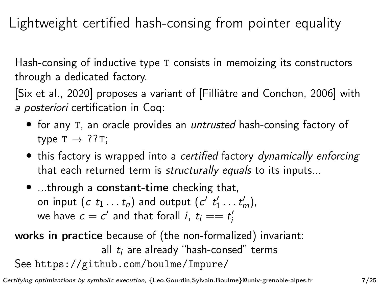Hash-consing of inductive type T consists in memoizing its constructors through a dedicated factory.

[\[Six et al., 2020\]](#page-73-2) proposes a variant of [\[Filliâtre and Conchon, 2006\]](#page-73-3) with a posteriori certification in Coq:

- for any T, an oracle provides an *untrusted* hash-consing factory of type  $T \rightarrow ??T$ ;
- this factory is wrapped into a certified factory dynamically enforcing that each returned term is *structurally equals* to its inputs...
- ...through a constant-time checking that, on input  $(c \ t_1 ... t_n)$  and output  $(c' \ t'_1 ... t'_m)$ , we have  $c = c'$  and that forall  $i, t_i == t'_i$

### works in practice because of (the non-formalized) invariant: all  $t_i$  are already "hash-consed" terms See <https://github.com/boulme/Impure/>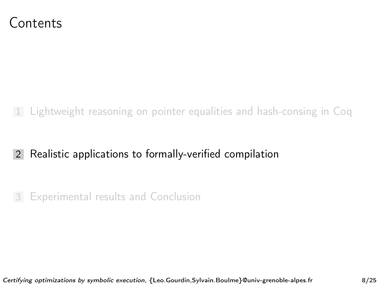<span id="page-23-0"></span>

#### 1 [Lightweight reasoning on pointer equalities and hash-consing in Coq](#page-1-0)

#### 2 [Realistic applications to formally-verified compilation](#page-23-0)

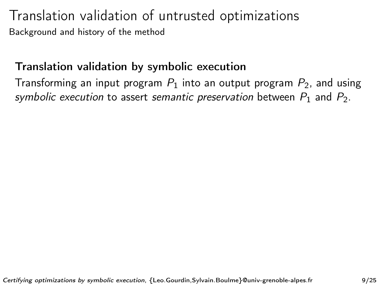#### Translation validation by symbolic execution

Transforming an input program  $P_1$  into an output program  $P_2$ , and using symbolic execution to assert semantic preservation between  $P_1$  and  $P_2$ .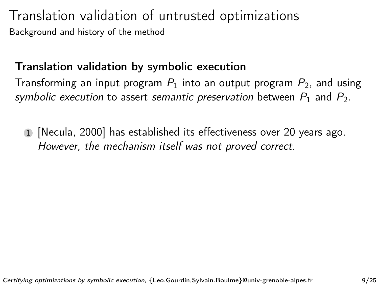#### Translation validation by symbolic execution

Transforming an input program  $P_1$  into an output program  $P_2$ , and using symbolic execution to assert semantic preservation between  $P_1$  and  $P_2$ .

1 [\[Necula, 2000\]](#page-73-4) has established its effectiveness over 20 years ago. However, the mechanism itself was not proved correct.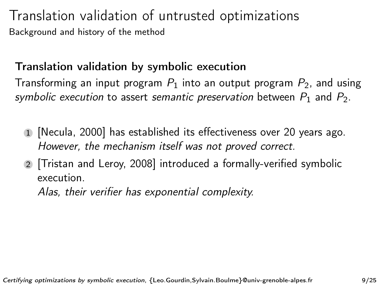#### Translation validation by symbolic execution

Transforming an input program  $P_1$  into an output program  $P_2$ , and using symbolic execution to assert semantic preservation between  $P_1$  and  $P_2$ .

- 1 [\[Necula, 2000\]](#page-73-4) has established its effectiveness over 20 years ago. However, the mechanism itself was not proved correct.
- 2 [\[Tristan and Leroy, 2008\]](#page-73-5) introduced a formally-verified symbolic execution.

Alas, their verifier has exponential complexity.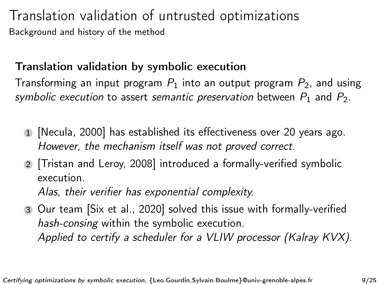#### Translation validation by symbolic execution

Transforming an input program  $P_1$  into an output program  $P_2$ , and using symbolic execution to assert semantic preservation between  $P_1$  and  $P_2$ .

- 1 [\[Necula, 2000\]](#page-73-4) has established its effectiveness over 20 years ago. However, the mechanism itself was not proved correct.
- 2 [\[Tristan and Leroy, 2008\]](#page-73-5) introduced a formally-verified symbolic execution.

Alas, their verifier has exponential complexity.

3 Our team [\[Six et al., 2020\]](#page-73-2) solved this issue with formally-verified hash-consing within the symbolic execution. Applied to certify a scheduler for a VLIW processor (Kalray KVX).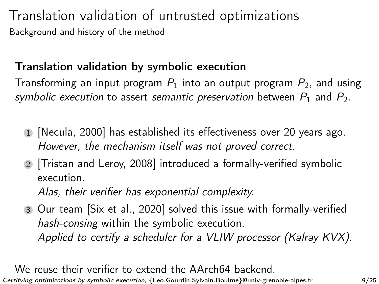#### Translation validation by symbolic execution

Transforming an input program  $P_1$  into an output program  $P_2$ , and using symbolic execution to assert semantic preservation between  $P_1$  and  $P_2$ .

- 1 [\[Necula, 2000\]](#page-73-4) has established its effectiveness over 20 years ago. However, the mechanism itself was not proved correct.
- 2 [\[Tristan and Leroy, 2008\]](#page-73-5) introduced a formally-verified symbolic execution.

Alas, their verifier has exponential complexity.

3 Our team [\[Six et al., 2020\]](#page-73-2) solved this issue with formally-verified hash-consing within the symbolic execution. Applied to certify a scheduler for a VLIW processor (Kalray KVX).

We reuse their verifier to extend the AArch64 backend. Certifying optimizations by symbolic execution, {Leo.Gourdin,Sylvain.Boulme}@univ-grenoble-alpes.fr 9/25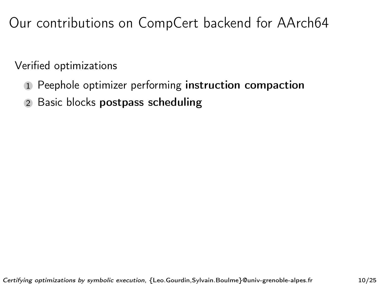## Our contributions on CompCert backend for AArch64

Verified optimizations

- 1 Peephole optimizer performing instruction compaction
- 2 Basic blocks postpass scheduling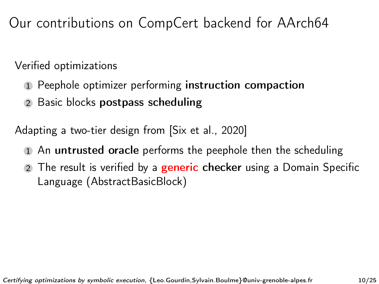Our contributions on CompCert backend for AArch64

Verified optimizations

- 1 Peephole optimizer performing instruction compaction
- 2 Basic blocks postpass scheduling

Adapting a two-tier design from [\[Six et al., 2020\]](#page-73-2)

- 1 An untrusted oracle performs the peephole then the scheduling
- 2 The result is verified by a **generic checker** using a Domain Specific Language (AbstractBasicBlock)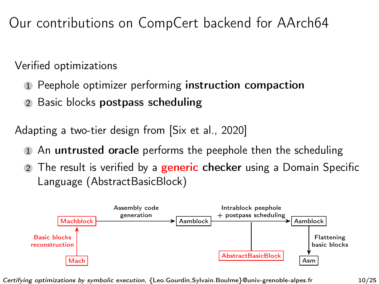Our contributions on CompCert backend for AArch64

Verified optimizations

- 1 Peephole optimizer performing instruction compaction
- 2 Basic blocks postpass scheduling

Adapting a two-tier design from [\[Six et al., 2020\]](#page-73-2)

- An untrusted oracle performs the peephole then the scheduling
- 2 The result is verified by a **generic checker** using a Domain Specific Language (AbstractBasicBlock)



Certifying optimizations by symbolic execution, {Leo.Gourdin,Sylvain.Boulme}@univ-grenoble-alpes.fr 10/25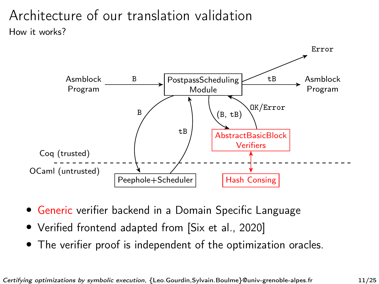### Architecture of our translation validation How it works?



- Generic verifier backend in a Domain Specific Language
- Verified frontend adapted from [\[Six et al., 2020\]](#page-73-2)
- The verifier proof is independent of the optimization oracles.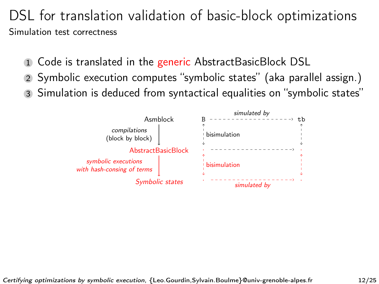### DSL for translation validation of basic-block optimizations Simulation test correctness

- 1 Code is translated in the generic AbstractBasicBlock DSL
- 2 Symbolic execution computes "symbolic states" (aka parallel assign.)
- 3 Simulation is deduced from syntactical equalities on "symbolic states"

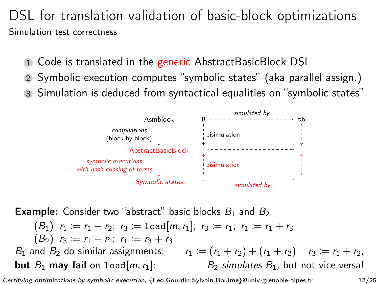### DSL for translation validation of basic-block optimizations Simulation test correctness

- 1 Code is translated in the generic AbstractBasicBlock DSL
- 2 Symbolic execution computes "symbolic states" (aka parallel assign.)
- 3 Simulation is deduced from syntactical equalities on "symbolic states"



**Example:** Consider two "abstract" basic blocks  $B_1$  and  $B_2$  $(B_1)$   $r_1 = r_1 + r_2$ ;  $r_3 =$  load[m,  $r_1$ ];  $r_3 = r_1$ ;  $r_1 = r_1 + r_3$  $(B_2)$   $r_3 := r_1 + r_2$ ;  $r_1 := r_3 + r_3$  $B_1$  and  $B_2$  do similar assignments:  $r_1 := (r_1 + r_2) + (r_1 + r_2) || r_3 := r_1 + r_2$ , **but**  $B_1$  may fail on  $1$ oad[m, r<sub>1</sub>]: B<sub>2</sub> simulates  $B_1$ , but not vice-versa!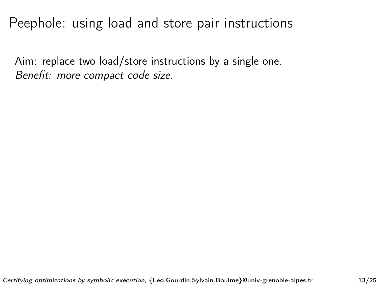## Peephole: using load and store pair instructions

Aim: replace two load/store instructions by a single one. Benefit: more compact code size.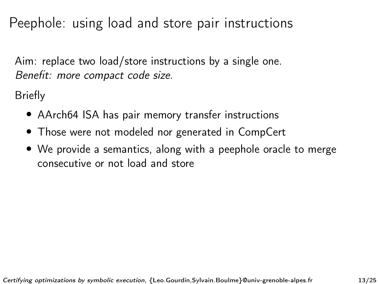## Peephole: using load and store pair instructions

Aim: replace two load/store instructions by a single one. Benefit: more compact code size.

Briefly

- AArch64 ISA has pair memory transfer instructions
- Those were not modeled nor generated in CompCert
- We provide a semantics, along with a peephole oracle to merge consecutive or not load and store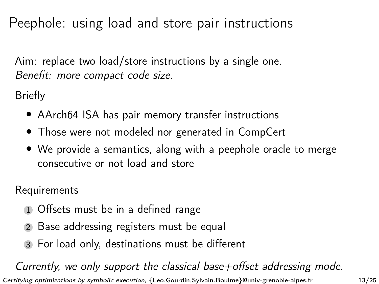## Peephole: using load and store pair instructions

Aim: replace two load/store instructions by a single one. Benefit: more compact code size.

Briefly

- AArch64 ISA has pair memory transfer instructions
- Those were not modeled nor generated in CompCert
- We provide a semantics, along with a peephole oracle to merge consecutive or not load and store

Requirements

- 1 Offsets must be in a defined range
- 2 Base addressing registers must be equal
- 3 For load only, destinations must be different

Currently, we only support the classical base+offset addressing mode. Certifying optimizations by symbolic execution, {Leo.Gourdin,Sylvain.Boulme}@univ-grenoble-alpes.fr 13/25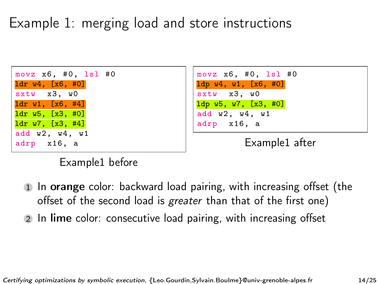# Example 1: merging load and store instructions





Example1 after

#### Example1 before

- 1 In orange color: backward load pairing, with increasing offset (the offset of the second load is *greater* than that of the first one)
- In lime color: consecutive load pairing, with increasing offset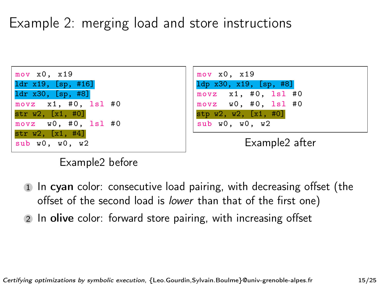# Example 2: merging load and store instructions



#### Example2 before

- 1 In cyan color: consecutive load pairing, with decreasing offset (the offset of the second load is lower than that of the first one)
- 2 In olive color: forward store pairing, with increasing offset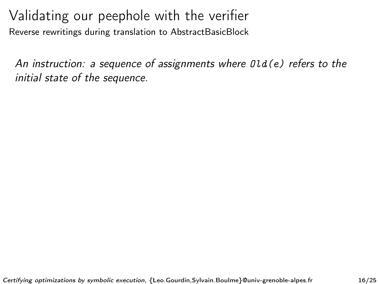An instruction: a sequence of assignments where  $Dld(e)$  refers to the initial state of the sequence.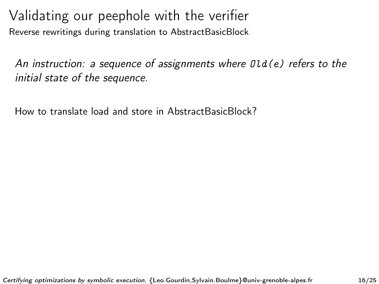An instruction: a sequence of assignments where  $Dld(e)$  refers to the initial state of the sequence.

How to translate load and store in AbstractBasicBlock?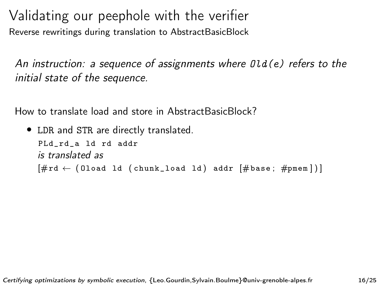An instruction: a sequence of assignments where  $\theta$ ld(e) refers to the initial state of the sequence.

How to translate load and store in AbstractBasicBlock?

```
• LDR and STR are directly translated.
PLd_rd_a ld rd addr
is translated as
[\text{#rd} \leftarrow (0load ld (chunk_load ld) addr [\text{#base} : \text{#pmem}])
```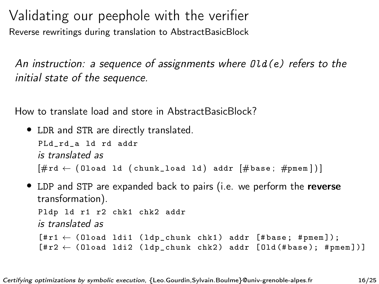An instruction: a sequence of assignments where  $\theta$ ld(e) refers to the initial state of the sequence.

How to translate load and store in AbstractBasicBlock?

```
• LDR and STR are directly translated.
PLd_rd_a ld rd addr
is translated as
[\text{#rd} \leftarrow (0load ld (chunk_load ld) addr [\text{#base} : \text{#pmem}])
```
• LDP and STP are expanded back to pairs (i.e. we perform the reverse transformation). Pldp ld r1 r2 chk1 chk2 addr is translated as  $[$ #r1  $\leftarrow$  (Oload ldi1 (ldp\_chunk chk1) addr [#base; #pmem]);  $[rr2 \leftarrow (0$ load ldi2 (ldp\_chunk chk2) addr [0ld (#base); #pmem])]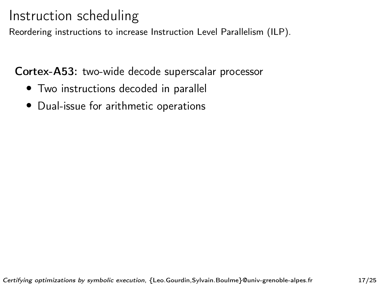## Instruction scheduling

Reordering instructions to increase Instruction Level Parallelism (ILP).

Cortex-A53: two-wide decode superscalar processor

- Two instructions decoded in parallel
- Dual-issue for arithmetic operations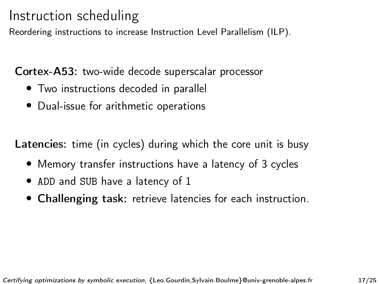## Instruction scheduling

Reordering instructions to increase Instruction Level Parallelism (ILP).

Cortex-A53: two-wide decode superscalar processor

- Two instructions decoded in parallel
- Dual-issue for arithmetic operations

Latencies: time (in cycles) during which the core unit is busy

- Memory transfer instructions have a latency of 3 cycles
- ADD and SUB have a latency of 1
- Challenging task: retrieve latencies for each instruction.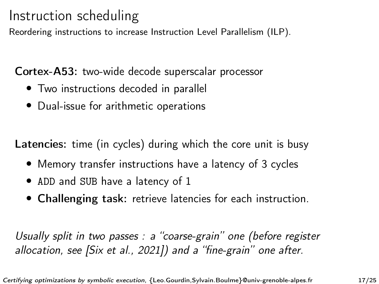## Instruction scheduling

Reordering instructions to increase Instruction Level Parallelism (ILP).

Cortex-A53: two-wide decode superscalar processor

- Two instructions decoded in parallel
- Dual-issue for arithmetic operations

Latencies: time (in cycles) during which the core unit is busy

- Memory transfer instructions have a latency of 3 cycles
- ADD and SUB have a latency of 1
- Challenging task: retrieve latencies for each instruction.

Usually split in two passes : a "coarse-grain" one (before register allocation, see [\[Six et al., 2021\]](#page-73-0)) and a "fine-grain" one after.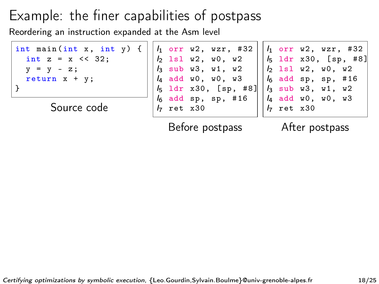Reordering an instruction expanded at the Asm level

| int main $(int x, int y)$ { |  |
|-----------------------------|--|
| int $z = x \le 32$ :        |  |
| $v = v - z$ ;               |  |
| return $x + y$ ;            |  |
| l 7                         |  |

Source code

|  | $h$ ret x30 | $l_1$ orr w2, wzr, #32<br>$h$ 1s1 w2, w0, w2<br>$l_3$ sub w3, w1, w2<br>$l_4$ add w0, w0, w3<br>$l_5$ ldr x30, [sp, #8]<br>$l_6$ add sp, sp, #16 |
|--|-------------|--------------------------------------------------------------------------------------------------------------------------------------------------|

Before postpass

After postpass

 $h$  ret  $x30$ 

 $I_1$  orr w2, wzr, #32  $I_5$  ldr x30, [sp, #8] lsl w2, w0, w2 add sp, sp, #16 sub w3, w1, w2 add w0, w0, w3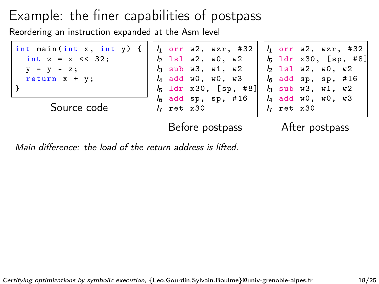Reordering an instruction expanded at the Asm level

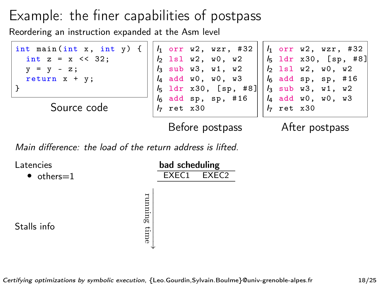Reordering an instruction expanded at the Asm level



| Latencies          |                 | bad scheduling |             |
|--------------------|-----------------|----------------|-------------|
| $\bullet$ others=1 |                 |                | EXEC1 EXEC2 |
| Stalls info        | running<br>time |                |             |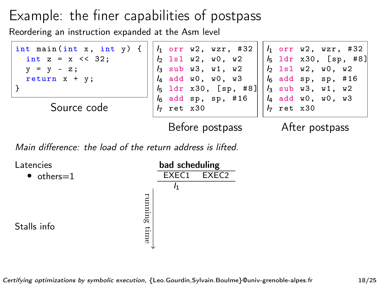Reordering an instruction expanded at the Asm level



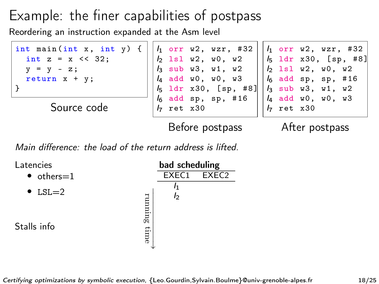Reordering an instruction expanded at the Asm level



| Latencies          |               | bad scheduling |       |
|--------------------|---------------|----------------|-------|
| $\bullet$ others=1 |               | EXEC1          | FXFC2 |
| $\bullet$ LSL=2    |               | I <sub>2</sub> |       |
| Stalls info        | nunng<br>time |                |       |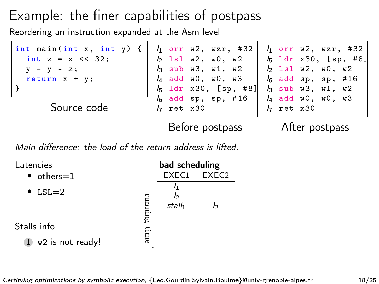Reordering an instruction expanded at the Asm level



| Latencies                                    |        | bad scheduling           |                   |
|----------------------------------------------|--------|--------------------------|-------------------|
| $\bullet$ others=1                           |        | EXEC1                    | FXFC <sub>2</sub> |
| $\bullet$ LSL=2                              | runmag | Iэ<br>stall <sub>1</sub> | ŀэ                |
| Stalls info                                  |        |                          |                   |
| w <sub>2</sub> is not ready!<br>$\mathbf{1}$ | time   |                          |                   |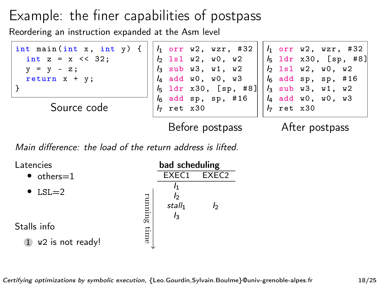Reordering an instruction expanded at the Asm level



| Latencies                                    |        | bad scheduling                   |                   |
|----------------------------------------------|--------|----------------------------------|-------------------|
| $\bullet$ others=1                           |        | EXEC1                            | FXFC <sub>2</sub> |
| $\bullet$ LSL=2                              | runmag | b<br>stall <sub>1</sub><br>$l_3$ | b                 |
| Stalls info                                  |        |                                  |                   |
| w <sub>2</sub> is not ready!<br>$\mathbf{1}$ | time   |                                  |                   |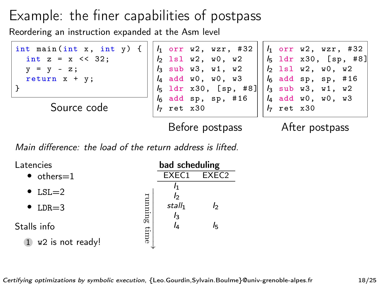Reordering an instruction expanded at the Asm level



| Latencies          |        | bad scheduling              |                   |
|--------------------|--------|-----------------------------|-------------------|
| $\bullet$ others=1 |        | EXEC1                       | FXFC <sub>2</sub> |
| $\bullet$ LSL=2    |        | Iэ                          |                   |
| $\bullet$ LDR=3    | runmag | stall <sub>1</sub><br>$l_3$ | ŀэ                |
| Stalls info        |        | l4                          | Iҕ                |
| w2 is not ready!   | time   |                             |                   |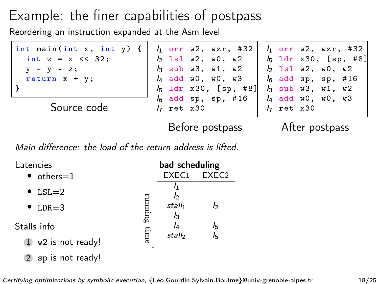Reordering an instruction expanded at the Asm level



Main difference: the load of the return address is lifted.

| Latencies                          |         | bad scheduling     |                   |
|------------------------------------|---------|--------------------|-------------------|
| $\bullet$ others=1                 |         | EXEC1              | FXFC <sub>2</sub> |
| $\bullet$ LSL=2                    |         | Iэ                 |                   |
| $\bullet$ LDR=3                    | runming | stall <sub>1</sub> | b                 |
| Stalls info                        |         | $I_3$<br>IΔ        | l5                |
| $1$ w2 is not ready!               | time    | stall              | l5                |
| sp is not ready!<br>$\overline{2}$ |         |                    |                   |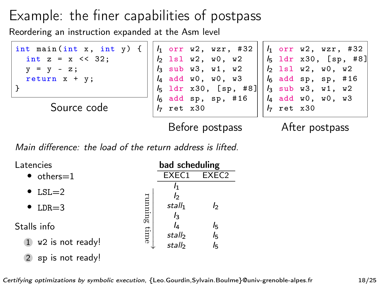Reordering an instruction expanded at the Asm level



Main difference: the load of the return address is lifted.

| Latencies                          |         | bad scheduling     |                      |
|------------------------------------|---------|--------------------|----------------------|
| $\bullet$ others=1                 |         | EXEC1              | FXFC <sub>2</sub>    |
| $\bullet$ LSL=2                    |         | Iэ                 |                      |
| $\bullet$ LDR=3                    | running | stall <sub>1</sub> | b                    |
| Stalls info                        |         | $I_3$<br>IΔ        | l5                   |
| w2 is not ready!<br>$\mathbf{1}$   | time    | stall<br>stall     | I <sub>5</sub><br>l5 |
| sp is not ready!<br>$\overline{2}$ |         |                    |                      |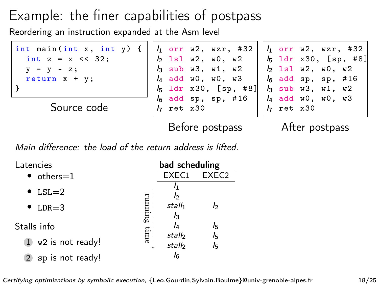Reordering an instruction expanded at the Asm level



Main difference: the load of the return address is lifted.

| Latencies            | bad scheduling                                 |  |
|----------------------|------------------------------------------------|--|
| $\bullet$ others=1   | EXEC1<br>FXFC <sub>2</sub>                     |  |
| $\bullet$ LSL=2      | I1<br>Iэ                                       |  |
| $\bullet$ LDR=3      | runmag<br>stall <sub>1</sub><br>b              |  |
| Stalls info          | $l_3$<br>IΔ<br>l5                              |  |
| $1$ w2 is not ready! | time<br>I <sub>5</sub><br>stall<br>stall<br>lҕ |  |
| 2 sp is not ready!   | l <sub>6</sub>                                 |  |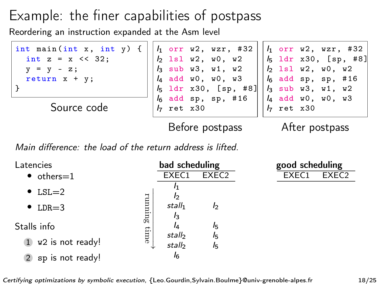Reordering an instruction expanded at the Asm level



Main difference: the load of the return address is lifted.

| Latencies                        | bad scheduling                                 |
|----------------------------------|------------------------------------------------|
| $\bullet$ others=1               | EXEC1<br>EXEC <sub>2</sub>                     |
| $\bullet$ LSL=2                  | I1<br>b                                        |
| $\bullet$ LDR=3                  | running<br>stall <sub>1</sub><br>b             |
| Stalls info                      | $l_3$<br>l5                                    |
| w2 is not ready!<br>$\mathbf{1}$ | time<br>I <sub>5</sub><br>stall<br>stall<br>l5 |
| 2 sp is not ready!               | Iᠷ                                             |

| good scheduling |                   |
|-----------------|-------------------|
| EXEC1           | EXEC <sub>2</sub> |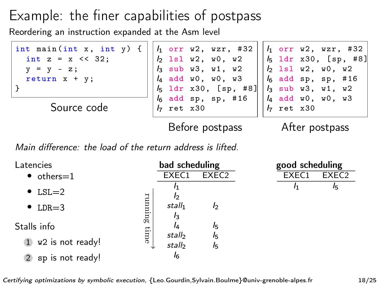Reordering an instruction expanded at the Asm level



Main difference: the load of the return address is lifted.

| Latencies                          |        | bad scheduling     |                      |
|------------------------------------|--------|--------------------|----------------------|
| $\bullet$ others=1                 |        | EXEC1              | FXFC <sub>2</sub>    |
| $\bullet$ LSL=2                    |        | I1<br>b            |                      |
| $\bullet$ LDR=3                    | ammuna | stall <sub>1</sub> | b                    |
| Stalls info                        |        | $l_3$<br>lΔ        | I5                   |
| $1$ w2 is not ready!               | time   | stall<br>stall     | I <sub>5</sub><br>l۳ |
| sp is not ready!<br>$\overline{2}$ |        | l6                 |                      |

| good scheduling |                   |
|-----------------|-------------------|
| EXEC1           | EXEC <sub>2</sub> |
| I٦              | Iҕ                |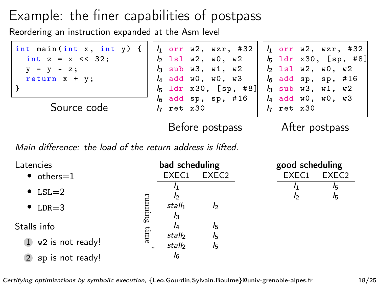Reordering an instruction expanded at the Asm level



Main difference: the load of the return address is lifted.

| Latencies                          |         | bad scheduling              |          |
|------------------------------------|---------|-----------------------------|----------|
| $\bullet$ others=1                 |         | EXEC1                       | FXFC2    |
| $\bullet$ LSL=2                    |         | I1<br>Iэ                    |          |
| $\bullet$ LDR=3                    | running | stall <sub>1</sub><br>$l_3$ | b        |
| Stalls info                        |         | lΔ                          | l5       |
| $1$ w <sub>2</sub> is not ready!   | time    | stall<br>stall              | l5<br>lء |
| sp is not ready!<br>$\overline{2}$ |         | I6                          |          |

| good scheduling |                   |  |  |  |  |
|-----------------|-------------------|--|--|--|--|
| EXEC1           | EXEC <sub>2</sub> |  |  |  |  |
| ŀ۱              | Iҕ                |  |  |  |  |
| b               | Iҕ                |  |  |  |  |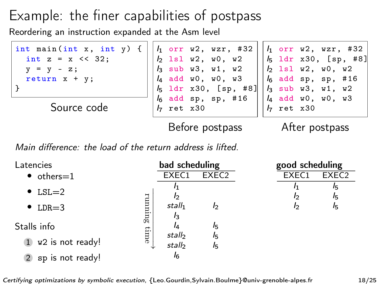Reordering an instruction expanded at the Asm level



Main difference: the load of the return address is lifted.

| Latencies                                    |       | bad scheduling              |                    | good scheduling |                   |
|----------------------------------------------|-------|-----------------------------|--------------------|-----------------|-------------------|
| $\bullet$ others=1                           |       | EXEC1                       | EXEC <sub>2</sub>  | EXEC1           | EXEC <sub>2</sub> |
| $\bullet$ LSL=2                              |       | I <sub>2</sub>              |                    | I2              | 15<br>I5          |
| $\bullet$ LDR=3                              | gunan | stall <sub>1</sub><br>$I_3$ | b                  | I2              | I5                |
| Stalls info                                  |       |                             | $I_{5}$            |                 |                   |
| w <sub>2</sub> is not ready!<br>$\mathbf{1}$ | time  | stall<br>stall              | $I_{5}$<br>$I_{5}$ |                 |                   |
| sp is not ready!                             |       | I6                          |                    |                 |                   |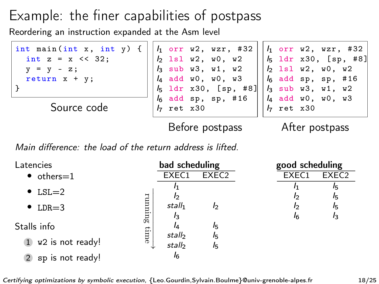Reordering an instruction expanded at the Asm level



Main difference: the load of the return address is lifted.

| Latencies                                    |       | bad scheduling              |                    | good scheduling |                   |
|----------------------------------------------|-------|-----------------------------|--------------------|-----------------|-------------------|
| $\bullet$ others=1                           |       | EXEC1                       | EXEC <sub>2</sub>  | EXEC1           | EXEC <sub>2</sub> |
| $\bullet$ LSL=2                              |       | I <sub>2</sub>              |                    | I2              | 15<br>$I_{5}$     |
| $\bullet$ LDR=3                              | gunan | stall <sub>1</sub>          | b                  | 12              | I5                |
| Stalls info                                  |       | $I_3$<br>lΔ                 | I5                 | I6              | I3                |
| w <sub>2</sub> is not ready!<br>$\mathbf{1}$ | time  | stall <sub>2</sub><br>stall | $I_{5}$<br>$I_{5}$ |                 |                   |
| sp is not ready!                             |       | I6                          |                    |                 |                   |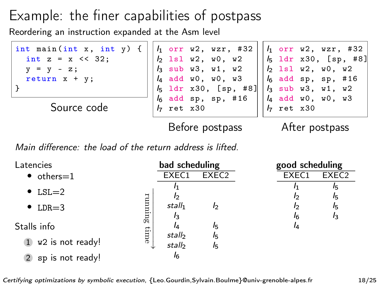Reordering an instruction expanded at the Asm level



Main difference: the load of the return address is lifted.

| Latencies                                    |        | bad scheduling              |                   | good scheduling |                   |
|----------------------------------------------|--------|-----------------------------|-------------------|-----------------|-------------------|
| $\bullet$ others=1                           |        | EXEC1                       | EXEC <sub>2</sub> | EXEC1           | EXEC <sub>2</sub> |
| $\bullet$ LSL=2                              |        |                             |                   | ıэ              | 15<br>$I_{5}$     |
| $\bullet$ LDR=3                              | annana | stall <sub>1</sub>          | b                 | 12              | $I_{5}$           |
| Stalls info                                  |        | $I_3$<br>IΔ                 | I5                | 16<br>I4        | $I_3$             |
| w <sub>2</sub> is not ready!<br>$\mathbf{1}$ | time   | stall <sub>2</sub><br>stall | I5<br>I5          |                 |                   |
| sp is not ready!                             |        | I6                          |                   |                 |                   |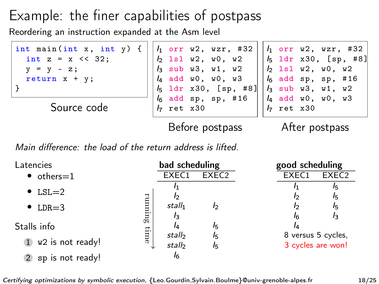Reordering an instruction expanded at the Asm level



Main difference: the load of the return address is lifted.

| Latencies                    |         | bad scheduling              |                   | good scheduling                         |                   |
|------------------------------|---------|-----------------------------|-------------------|-----------------------------------------|-------------------|
| $\bullet$ others=1           |         | EXEC1                       | EXEC <sub>2</sub> | EXEC1                                   | EXEC <sub>2</sub> |
| $\bullet$ LSL=2              |         |                             |                   |                                         | 15<br>15          |
| $\bullet$ LDR=3              | running | stall <sub>1</sub><br>$I_3$ | I2                | 16                                      | 15<br>$I_3$       |
| Stalls info                  |         |                             | I5                | IΔ                                      |                   |
| w <sub>2</sub> is not ready! | time    | stall<br>stall              | I5<br>$I_{5}$     | 8 versus 5 cycles,<br>3 cycles are won! |                   |
| sp is not ready!             |         | I6                          |                   |                                         |                   |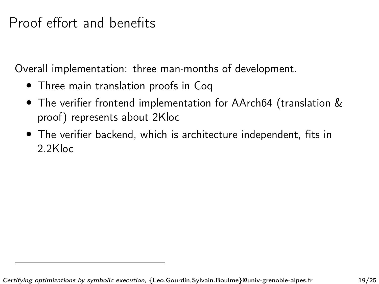# Proof effort and benefits

Overall implementation: three man·months of development.

- Three main translation proofs in Coq
- The verifier frontend implementation for AArch64 (translation & proof) represents about 2Kloc
- The verifier backend, which is architecture independent, fits in 2.2Kloc

Certifying optimizations by symbolic execution, {Leo.Gourdin,Sylvain.Boulme}@univ-grenoble-alpes.fr 19/25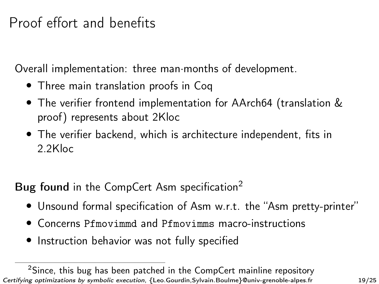# Proof effort and benefits

Overall implementation: three man·months of development.

- Three main translation proofs in Coq
- The verifier frontend implementation for AArch64 (translation & proof) represents about 2Kloc
- The verifier backend, which is architecture independent, fits in 2.2Kloc
- Bug found in the CompCert Asm specification<sup>2</sup>
	- Unsound formal specification of Asm w.r.t. the "Asm pretty-printer"
	- Concerns Pfmovimmd and Pfmovimms macro-instructions
	- Instruction behavior was not fully specified

<sup>&</sup>lt;sup>2</sup>Since, this bug has been patched in the CompCert mainline repository Certifying optimizations by symbolic execution, {Leo.Gourdin,Sylvain.Boulme}@univ-grenoble-alpes.fr 19/25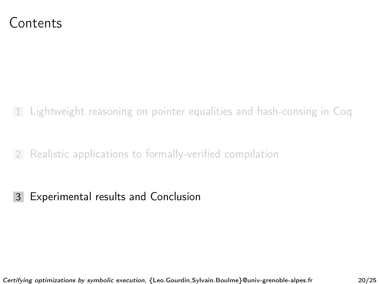#### <span id="page-67-0"></span>Contents

1 [Lightweight reasoning on pointer equalities and hash-consing in Coq](#page-1-0)

2 [Realistic applications to formally-verified compilation](#page-23-0)

3 [Experimental results and Conclusion](#page-67-0)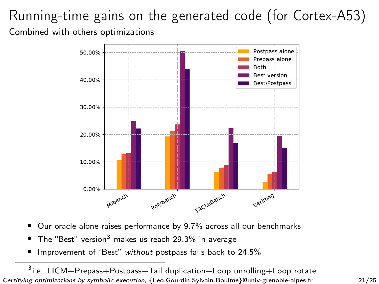#### Running-time gains on the generated code (for Cortex-A53) Combined with others optimizations



- Our oracle alone raises performance by 9.7% across all our benchmarks
- The "Best" version<sup>3</sup> makes us reach 29.3% in average
- Improvement of "Best" without postpass falls back to 24.5%

<sup>3</sup>i.e. LICM+Prepass+Postpass+Tail duplication+Loop unrolling+Loop rotate Certifying optimizations by symbolic execution, {Leo.Gourdin,Sylvain.Boulme}@univ-grenoble-alpes.fr 21/25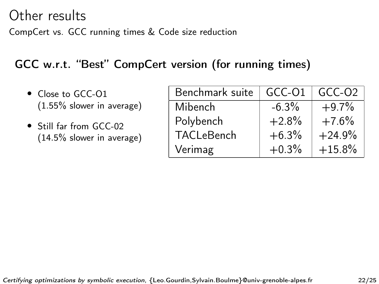#### Other results

CompCert vs. GCC running times & Code size reduction

#### GCC w.r.t. "Best" CompCert version (for running times)

- Close to GCC-O1 (1.55% slower in average)
- Still far from GCC-02 (14.5% slower in average)

| Benchmark suite | GCC-01   | GCC-02   |
|-----------------|----------|----------|
| Mibench         | $-6.3\%$ | $+9.7%$  |
| Polybench       | $+2.8%$  | $+7.6%$  |
| TACLeBench      | $+6.3%$  | $+24.9%$ |
| Verimag         | $+0.3%$  | $+15.8%$ |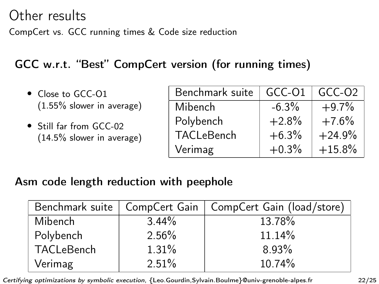#### Other results

CompCert vs. GCC running times & Code size reduction

#### GCC w.r.t. "Best" CompCert version (for running times)

- Close to GCC-O1 (1.55% slower in average)
- Still far from GCC-02 (14.5% slower in average)

| Benchmark suite | GCC-01  | $GCC-O2$ |
|-----------------|---------|----------|
| Mibench         | $-6.3%$ | $+9.7%$  |
| Polybench       | $+2.8%$ | $+7.6%$  |
| TACLeBench      | $+6.3%$ | $+24.9%$ |
| Verimag         | $+0.3%$ | $+15.8%$ |

#### Asm code length reduction with peephole

| Benchmark suite   CompCert Gain |          | CompCert Gain (load/store) |
|---------------------------------|----------|----------------------------|
| <b>Mibench</b>                  | $3.44\%$ | 13.78%                     |
| Polybench                       | 2.56%    | 11.14%                     |
| TACLeBench                      | 1.31%    | 8.93%                      |
| Verimag                         | 2.51%    | 10.74%                     |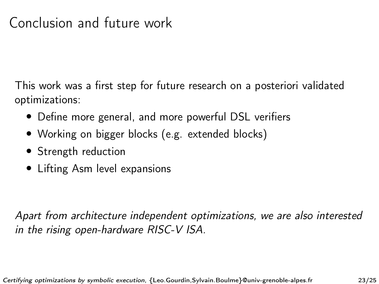# Conclusion and future work

This work was a first step for future research on a posteriori validated optimizations:

- Define more general, and more powerful DSL verifiers
- Working on bigger blocks (e.g. extended blocks)
- Strength reduction
- Lifting Asm level expansions

Apart from architecture independent optimizations, we are also interested in the rising open-hardware RISC-V ISA.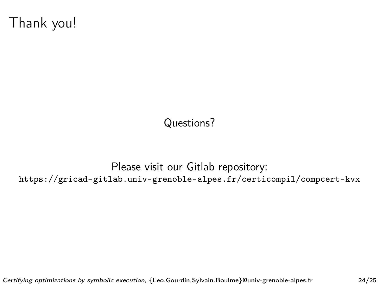Thank you!

Questions?

Please visit our Gitlab repository: <https://gricad-gitlab.univ-grenoble-alpes.fr/certicompil/compcert-kvx>

Certifying optimizations by symbolic execution, {Leo.Gourdin,Sylvain.Boulme}@univ-grenoble-alpes.fr 24/25